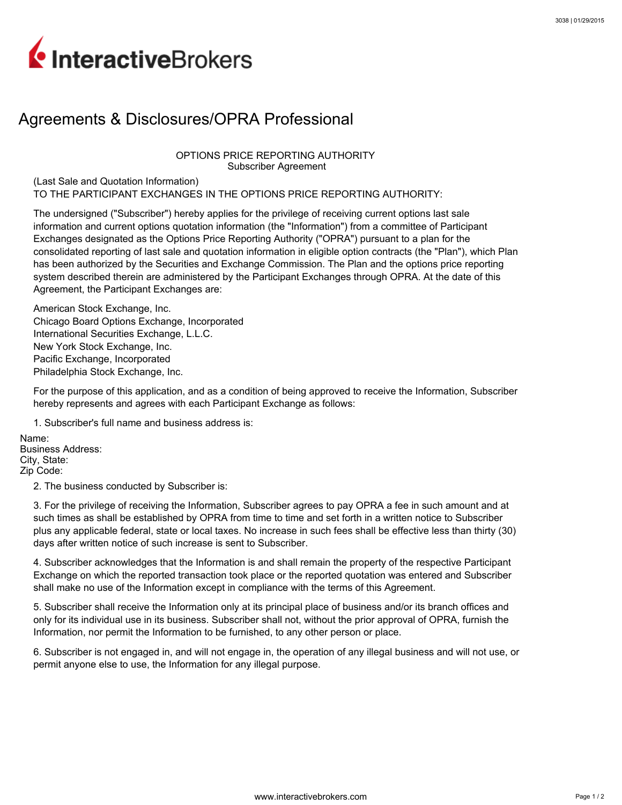## InteractiveBrokers

## Agreements & Disclosures/OPRA Professional

OPTIONS PRICE REPORTING AUTHORITY Subscriber Agreement

(Last Sale and Quotation Information) TO THE PARTICIPANT EXCHANGES IN THE OPTIONS PRICE REPORTING AUTHORITY:

The undersigned ("Subscriber") hereby applies for the privilege of receiving current options last sale information and current options quotation information (the "Information") from a committee of Participant Exchanges designated as the Options Price Reporting Authority ("OPRA") pursuant to a plan for the consolidated reporting of last sale and quotation information in eligible option contracts (the "Plan"), which Plan has been authorized by the Securities and Exchange Commission. The Plan and the options price reporting system described therein are administered by the Participant Exchanges through OPRA. At the date of this Agreement, the Participant Exchanges are:

American Stock Exchange, Inc. Chicago Board Options Exchange, Incorporated International Securities Exchange, L.L.C. New York Stock Exchange, Inc. Pacific Exchange, Incorporated Philadelphia Stock Exchange, Inc.

For the purpose of this application, and as a condition of being approved to receive the Information, Subscriber hereby represents and agrees with each Participant Exchange as follows:

1. Subscriber's full name and business address is:

Name: Business Address: City, State: Zip Code:

2. The business conducted by Subscriber is:

3. For the privilege of receiving the Information, Subscriber agrees to pay OPRA a fee in such amount and at such times as shall be established by OPRA from time to time and set forth in a written notice to Subscriber plus any applicable federal, state or local taxes. No increase in such fees shall be effective less than thirty (30) days after written notice of such increase is sent to Subscriber.

4. Subscriber acknowledges that the Information is and shall remain the property of the respective Participant Exchange on which the reported transaction took place or the reported quotation was entered and Subscriber shall make no use of the Information except in compliance with the terms of this Agreement.

5. Subscriber shall receive the Information only at its principal place of business and/or its branch offices and only for its individual use in its business. Subscriber shall not, without the prior approval of OPRA, furnish the Information, nor permit the Information to be furnished, to any other person or place.

6. Subscriber is not engaged in, and will not engage in, the operation of any illegal business and will not use, or permit anyone else to use, the Information for any illegal purpose.